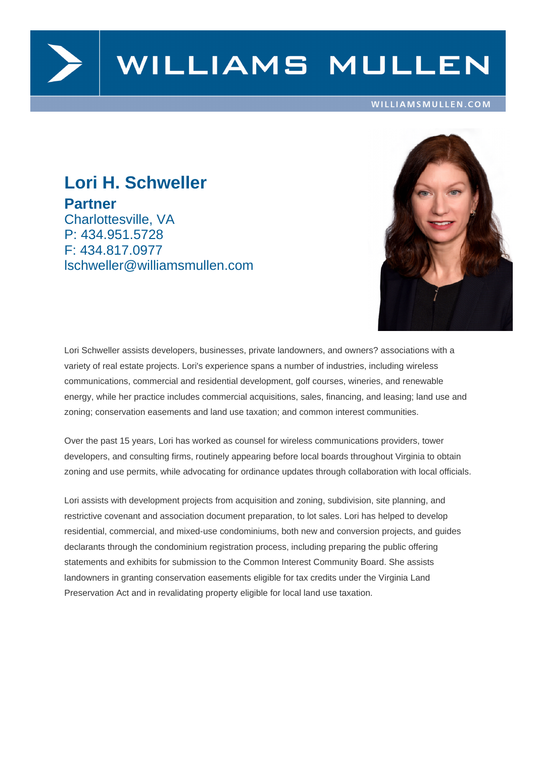

# WILLIAMS MULLEN

#### WILLIAMSMULLEN.COM

## **Lori H. Schweller Partner** Charlottesville, VA P: 434.951.5728 F: 434.817.0977 lschweller@williamsmullen.com



Lori Schweller assists developers, businesses, private landowners, and owners? associations with a variety of real estate projects. Lori's experience spans a number of industries, including wireless communications, commercial and residential development, golf courses, wineries, and renewable energy, while her practice includes commercial acquisitions, sales, financing, and leasing; land use and zoning; conservation easements and land use taxation; and common interest communities.

Over the past 15 years, Lori has worked as counsel for wireless communications providers, tower developers, and consulting firms, routinely appearing before local boards throughout Virginia to obtain zoning and use permits, while advocating for ordinance updates through collaboration with local officials.

Lori assists with development projects from acquisition and zoning, subdivision, site planning, and restrictive covenant and association document preparation, to lot sales. Lori has helped to develop residential, commercial, and mixed-use condominiums, both new and conversion projects, and guides declarants through the condominium registration process, including preparing the public offering statements and exhibits for submission to the Common Interest Community Board. She assists landowners in granting conservation easements eligible for tax credits under the Virginia Land Preservation Act and in revalidating property eligible for local land use taxation.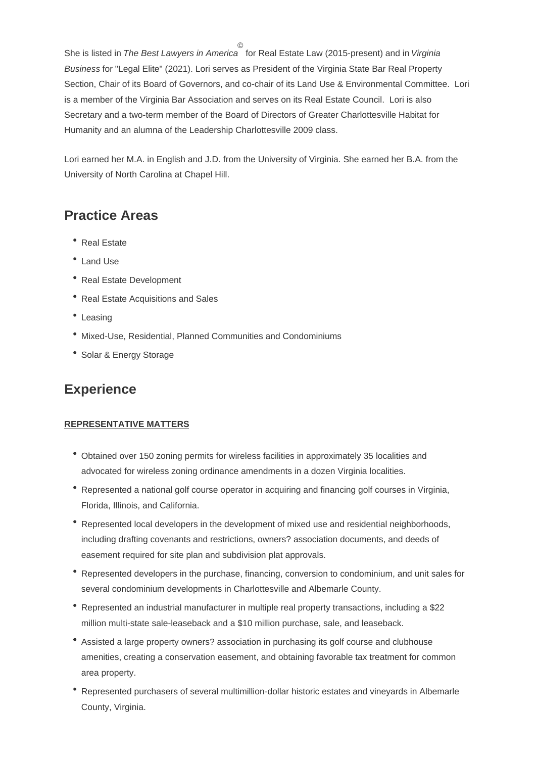She is listed in The Best Lawyers in America for Real Estate Law (2015-present) and in Virginia Business for "Legal Elite" (2021). Lori serves as President of the Virginia State Bar Real Property Section, Chair of its Board of Governors, and co-chair of its Land Use & Environmental Committee. Lori is a member of the Virginia Bar Association and serves on its Real Estate Council. Lori is also Secretary and a two-term member of the Board of Directors of Greater Charlottesville Habitat for Humanity and an alumna of the Leadership Charlottesville 2009 class.

Lori earned her M.A. in English and J.D. from the University of Virginia. She earned her B.A. from the University of North Carolina at Chapel Hill.

### **Practice Areas**

- Real Estate
- Land Use
- Real Estate Development
- Real Estate Acquisitions and Sales
- Leasing
- Mixed-Use, Residential, Planned Communities and Condominiums
- Solar & Energy Storage

### **Experience**

#### **REPRESENTATIVE MATTERS**

- Obtained over 150 zoning permits for wireless facilities in approximately 35 localities and advocated for wireless zoning ordinance amendments in a dozen Virginia localities.
- Represented a national golf course operator in acquiring and financing golf courses in Virginia, Florida, Illinois, and California.
- Represented local developers in the development of mixed use and residential neighborhoods, including drafting covenants and restrictions, owners? association documents, and deeds of easement required for site plan and subdivision plat approvals.
- Represented developers in the purchase, financing, conversion to condominium, and unit sales for several condominium developments in Charlottesville and Albemarle County.
- Represented an industrial manufacturer in multiple real property transactions, including a \$22 million multi-state sale-leaseback and a \$10 million purchase, sale, and leaseback.
- Assisted a large property owners? association in purchasing its golf course and clubhouse amenities, creating a conservation easement, and obtaining favorable tax treatment for common area property.
- Represented purchasers of several multimillion-dollar historic estates and vineyards in Albemarle County, Virginia.